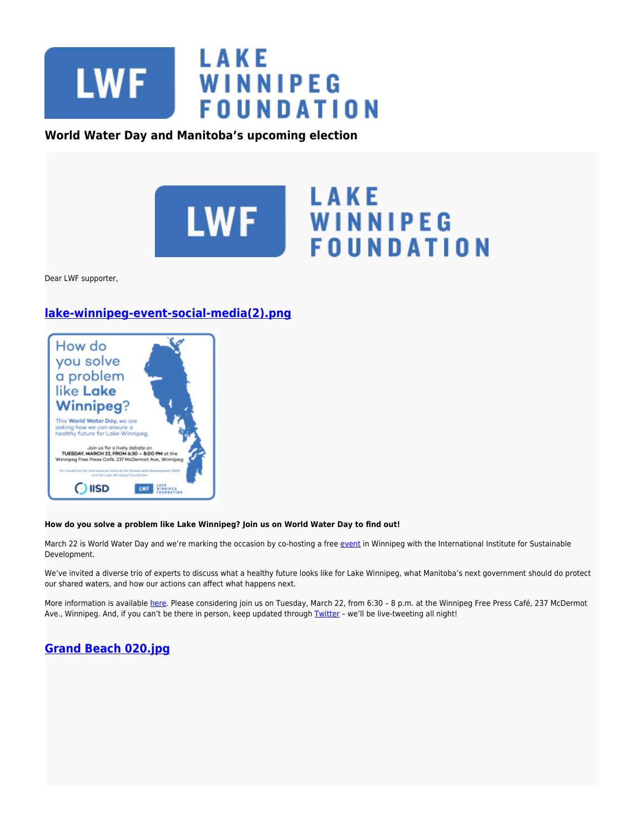

### **World Water Day and Manitoba's upcoming election**



Dear LWF supporter,

# **[lake-winnipeg-event-social-media\(2\).png](https://lakewinnipegfoundation.org/file/lake-winnipeg-event-social-media2png-0)**



#### **How do you solve a problem like Lake Winnipeg? Join us on World Water Day to find out!**

March 22 is World Water Day and we're marking the occasion by co-hosting a free [event](http://www.lakewinnipegfoundation.org/events/events/how-do-you-solve-problem-lake-winnipeg) in Winnipeg with the International Institute for Sustainable Development.

We've invited a diverse trio of experts to discuss what a healthy future looks like for Lake Winnipeg, what Manitoba's next government should do protect our shared waters, and how our actions can affect what happens next.

More information is available [here](https://www.facebook.com/events/1574078536246204/?active_tab=highlights). Please considering join us on Tuesday, March 22, from 6:30 - 8 p.m. at the Winnipeg Free Press Café, 237 McDermot Ave., Winnipeg. And, if you can't be there in person, keep updated through [Twitter](https://twitter.com/SaveLakeWpg) - we'll be live-tweeting all night!

## **[Grand Beach 020.jpg](https://lakewinnipegfoundation.org/file/grand-beach-020jpg)**